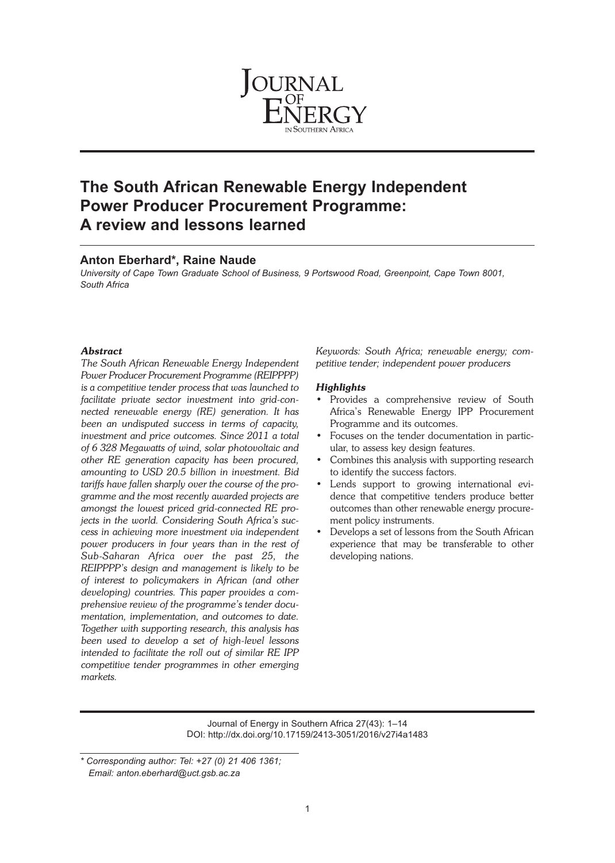

# **The South African Renewable Energy Independent Power Producer Procurement Programme: A review and lessons learned**

# **Anton Eberhard\*, Raine Naude**

*University of Cape Town Graduate School of Business, 9 Portswood Road, Greenpoint, Cape Town 8001, South Africa*

# *Abstract*

*The South African Renewable Energy Independent Power Producer Procurement Programme (REIPPPP) is a competitive tender process that was launched to facilitate private sector investment into grid-connected renewable energy (RE) generation. It has been an undisputed success in terms of capacity, investment and price outcomes. Since 2011 a total of 6 328 Megawatts of wind, solar photovoltaic and other RE generation capacity has been procured, amounting to USD 20.5 billion in investment. Bid tariffs have fallen sharply over the course of the programme and the most recently awarded projects are amongst the lowest priced grid-connected RE projects in the world. Considering South Africa's success in achieving more investment via independent power producers in four years than in the rest of Sub-Saharan Africa over the past 25, the REIPPPP's design and management is likely to be of interest to policymakers in African (and other developing) countries. This paper provides a comprehensive review of the programme's tender documentation, implementation, and outcomes to date. Together with supporting research, this analysis has been used to develop a set of high-level lessons intended to facilitate the roll out of similar RE IPP competitive tender programmes in other emerging markets.*

*Keywords: South Africa; renewable energy; competitive tender; independent power producers*

# *Highlights*

- Provides a comprehensive review of South Africa's Renewable Energy IPP Procurement Programme and its outcomes.
- Focuses on the tender documentation in particular, to assess key design features.
- Combines this analysis with supporting research to identify the success factors.
- Lends support to growing international evidence that competitive tenders produce better outcomes than other renewable energy procurement policy instruments.
- Develops a set of lessons from the South African experience that may be transferable to other developing nations.

Journal of Energy in Southern Africa 27(43): 1–14 DOI: http://dx.doi.org/10.17159/2413-3051/2016/v27i4a1483

*<sup>\*</sup> Corresponding author: Tel: +27 (0) 21 406 1361; Email: anton.eberhard@uct.gsb.ac.za*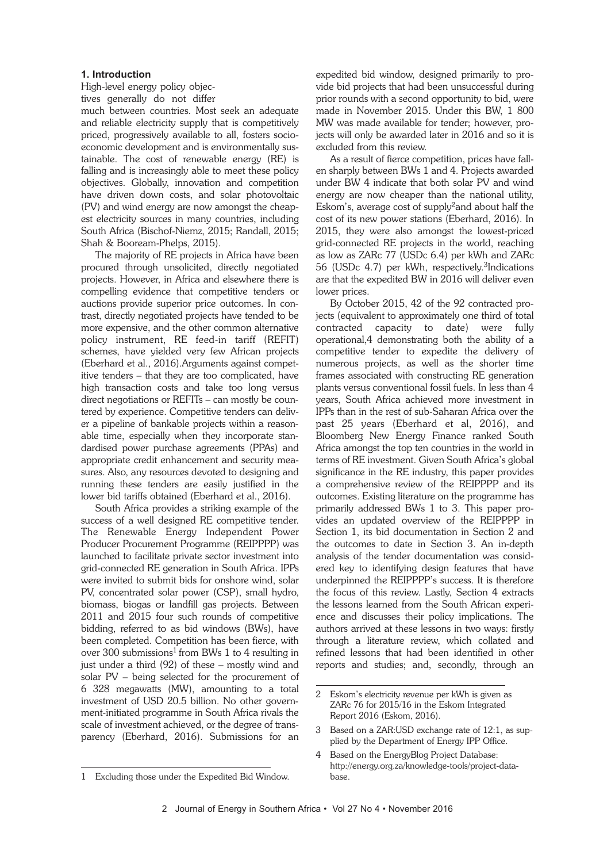### **1. Introduction**

High-level energy policy objectives generally do not differ

much between countries. Most seek an adequate and reliable electricity supply that is competitively priced, progressively available to all, fosters socioeconomic development and is environmentally sustainable. The cost of renewable energy (RE) is falling and is increasingly able to meet these policy objectives. Globally, innovation and competition have driven down costs, and solar photovoltaic (PV) and wind energy are now amongst the cheapest electricity sources in many countries, including South Africa (Bischof-Niemz, 2015; Randall, 2015; Shah & Booream-Phelps, 2015).

The majority of RE projects in Africa have been procured through unsolicited, directly negotiated projects. However, in Africa and elsewhere there is compelling evidence that competitive tenders or auctions provide superior price outcomes. In contrast, directly negotiated projects have tended to be more expensive, and the other common alternative policy instrument, RE feed-in tariff (REFIT) schemes, have yielded very few African projects (Eberhard et al., 2016).Arguments against competitive tenders – that they are too complicated, have high transaction costs and take too long versus direct negotiations or REFITs – can mostly be countered by experience. Competitive tenders can deliver a pipeline of bankable projects within a reasonable time, especially when they incorporate standardised power purchase agreements (PPAs) and appropriate credit enhancement and security measures. Also, any resources devoted to designing and running these tenders are easily justified in the lower bid tariffs obtained (Eberhard et al., 2016).

South Africa provides a striking example of the success of a well designed RE competitive tender. The Renewable Energy Independent Power Producer Procurement Programme (REIPPPP) was launched to facilitate private sector investment into grid-connected RE generation in South Africa. IPPs were invited to submit bids for onshore wind, solar PV, concentrated solar power (CSP), small hydro, biomass, biogas or landfill gas projects. Between 2011 and 2015 four such rounds of competitive bidding, referred to as bid windows (BWs), have been completed. Competition has been fierce, with over 300 submissions<sup>1</sup> from BWs 1 to 4 resulting in just under a third (92) of these – mostly wind and solar PV – being selected for the procurement of 6 328 megawatts (MW), amounting to a total investment of USD 20.5 billion. No other government-initiated programme in South Africa rivals the scale of investment achieved, or the degree of transparency (Eberhard, 2016). Submissions for an

expedited bid window, designed primarily to provide bid projects that had been unsuccessful during prior rounds with a second opportunity to bid, were made in November 2015. Under this BW, 1 800 MW was made available for tender; however, projects will only be awarded later in 2016 and so it is excluded from this review.

As a result of fierce competition, prices have fallen sharply between BWs 1 and 4. Projects awarded under BW 4 indicate that both solar PV and wind energy are now cheaper than the national utility, Eskom's, average cost of supply<sup>2</sup> and about half the cost of its new power stations (Eberhard, 2016). In 2015, they were also amongst the lowest-priced grid-connected RE projects in the world, reaching as low as ZARc 77 (USDc 6.4) per kWh and ZARc 56 (USDc 4.7) per kWh, respectively. 3Indications are that the expedited BW in 2016 will deliver even lower prices.

By October 2015, 42 of the 92 contracted projects (equivalent to approximately one third of total contracted capacity to date) were fully operational,4 demonstrating both the ability of a competitive tender to expedite the delivery of numerous projects, as well as the shorter time frames associated with constructing RE generation plants versus conventional fossil fuels. In less than 4 years, South Africa achieved more investment in IPPs than in the rest of sub-Saharan Africa over the past 25 years (Eberhard et al, 2016), and Bloomberg New Energy Finance ranked South Africa amongst the top ten countries in the world in terms of RE investment. Given South Africa's global significance in the RE industry, this paper provides a comprehensive review of the REIPPPP and its outcomes. Existing literature on the programme has primarily addressed BWs 1 to 3. This paper provides an updated overview of the REIPPPP in Section 1, its bid documentation in Section 2 and the outcomes to date in Section 3. An in-depth analysis of the tender documentation was considered key to identifying design features that have underpinned the REIPPPP's success. It is therefore the focus of this review. Lastly, Section 4 extracts the lessons learned from the South African experience and discusses their policy implications. The authors arrived at these lessons in two ways: firstly through a literature review, which collated and refined lessons that had been identified in other reports and studies; and, secondly, through an

<sup>1</sup> Excluding those under the Expedited Bid Window.

<sup>2</sup> Eskom's electricity revenue per kWh is given as ZARc 76 for 2015/16 in the Eskom Integrated Report 2016 (Eskom, 2016).

<sup>3</sup> Based on a ZAR:USD exchange rate of 12:1, as supplied by the Department of Energy IPP Office.

<sup>4</sup> Based on the EnergyBlog Project Database: http://energy.org.za/knowledge-tools/project-database.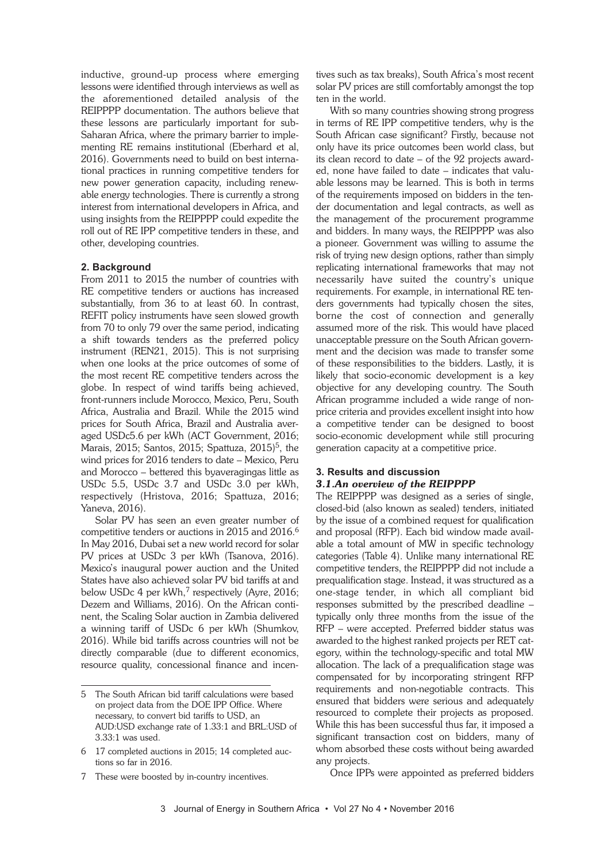inductive, ground-up process where emerging lessons were identified through interviews as well as the aforementioned detailed analysis of the REIPPPP documentation. The authors believe that these lessons are particularly important for sub-Saharan Africa, where the primary barrier to implementing RE remains institutional (Eberhard et al, 2016). Governments need to build on best international practices in running competitive tenders for new power generation capacity, including renewable energy technologies. There is currently a strong interest from international developers in Africa, and using insights from the REIPPPP could expedite the roll out of RE IPP competitive tenders in these, and other, developing countries.

# **2. Background**

From 2011 to 2015 the number of countries with RE competitive tenders or auctions has increased substantially, from 36 to at least 60. In contrast, REFIT policy instruments have seen slowed growth from 70 to only 79 over the same period, indicating a shift towards tenders as the preferred policy instrument (REN21, 2015). This is not surprising when one looks at the price outcomes of some of the most recent RE competitive tenders across the globe. In respect of wind tariffs being achieved, front-runners include Morocco, Mexico, Peru, South Africa, Australia and Brazil. While the 2015 wind prices for South Africa, Brazil and Australia averaged USDc5.6 per kWh (ACT Government, 2016; Marais, 2015; Santos, 2015; Spattuza, 2015) 5, the wind prices for 2016 tenders to date – Mexico, Peru and Morocco – bettered this byaveragingas little as USDc 5.5, USDc 3.7 and USDc 3.0 per kWh, respectively (Hristova, 2016; Spattuza, 2016; Yaneva, 2016).

Solar PV has seen an even greater number of competitive tenders or auctions in 2015 and 2016. 6 In May 2016, Dubai set a new world record for solar PV prices at USDc 3 per kWh (Tsanova, 2016). Mexico's inaugural power auction and the United States have also achieved solar PV bid tariffs at and below USDc 4 per kWh,<sup>7</sup> respectively (Ayre, 2016; Dezem and Williams, 2016). On the African continent, the Scaling Solar auction in Zambia delivered a winning tariff of USDc 6 per kWh (Shumkov, 2016). While bid tariffs across countries will not be directly comparable (due to different economics, resource quality, concessional finance and incentives such as tax breaks), South Africa's most recent solar PV prices are still comfortably amongst the top ten in the world.

With so many countries showing strong progress in terms of RE IPP competitive tenders, why is the South African case significant? Firstly, because not only have its price outcomes been world class, but its clean record to date – of the 92 projects awarded, none have failed to date – indicates that valuable lessons may be learned. This is both in terms of the requirements imposed on bidders in the tender documentation and legal contracts, as well as the management of the procurement programme and bidders. In many ways, the REIPPPP was also a pioneer. Government was willing to assume the risk of trying new design options, rather than simply replicating international frameworks that may not necessarily have suited the country's unique requirements. For example, in international RE tenders governments had typically chosen the sites, borne the cost of connection and generally assumed more of the risk. This would have placed unacceptable pressure on the South African government and the decision was made to transfer some of these responsibilities to the bidders. Lastly, it is likely that socio-economic development is a key objective for any developing country. The South African programme included a wide range of nonprice criteria and provides excellent insight into how a competitive tender can be designed to boost socio-economic development while still procuring generation capacity at a competitive price.

# **3. Results and discussion** *3.1.An overview of the REIPPPP*

The REIPPPP was designed as a series of single, closed-bid (also known as sealed) tenders, initiated by the issue of a combined request for qualification and proposal (RFP). Each bid window made available a total amount of MW in specific technology categories (Table 4). Unlike many international RE competitive tenders, the REIPPPP did not include a prequalification stage. Instead, it was structured as a one-stage tender, in which all compliant bid responses submitted by the prescribed deadline – typically only three months from the issue of the RFP – were accepted. Preferred bidder status was awarded to the highest ranked projects per RET category, within the technology-specific and total MW allocation. The lack of a prequalification stage was compensated for by incorporating stringent RFP requirements and non-negotiable contracts. This ensured that bidders were serious and adequately resourced to complete their projects as proposed. While this has been successful thus far, it imposed a significant transaction cost on bidders, many of whom absorbed these costs without being awarded any projects.

Once IPPs were appointed as preferred bidders

<sup>5</sup> The South African bid tariff calculations were based on project data from the DOE IPP Office. Where necessary, to convert bid tariffs to USD, an AUD:USD exchange rate of 1.33:1 and BRL:USD of 3.33:1 was used.

<sup>6</sup> 17 completed auctions in 2015; 14 completed auctions so far in 2016.

<sup>7</sup> These were boosted by in-country incentives.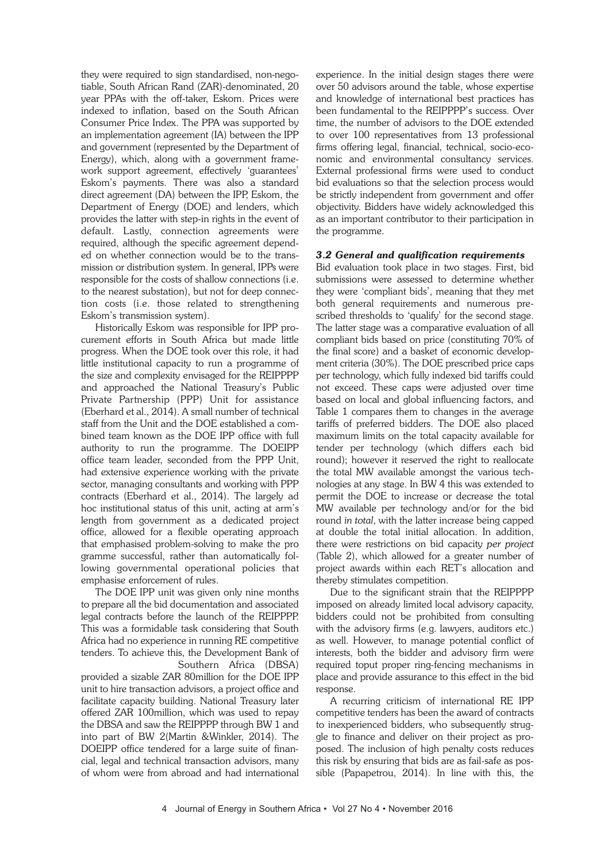they were required to sign standardised, non-negotiable, South African Rand (ZAR)-denominated, 20 year PPAs with the off-taker, Eskom. Prices were indexed to inflation, based on the South African Consumer Price Index. The PPA was supported by an implementation agreement (IA) between the IPP and government (represented by the Department of Energy), which, along with a government framework support agreement, effectively 'guarantees' Eskom's payments. There was also a standard direct agreement (DA) between the IPP, Eskom, the Department of Energy (DOE) and lenders, which provides the latter with step-in rights in the event of default. Lastly, connection agreements were required, although the specific agreement depended on whether connection would be to the transmission or distribution system. In general, IPPs were responsible for the costs of shallow connections (i.e. to the nearest substation), but not for deep connection costs (i.e. those related to strengthening Eskom's transmission system).

Historically Eskom was responsible for IPP procurement efforts in South Africa but made little progress. When the DOE took over this role, it had little institutional capacity to run a programme of the size and complexity envisaged for the REIPPPP and approached the National Treasury's Public Private Partnership (PPP) Unit for assistance (Eberhard et al., 2014). A small number of technical staff from the Unit and the DOE established a combined team known as the DOE IPP office with full authority to run the programme. The DOEIPP office team leader, seconded from the PPP Unit, had extensive experience working with the private sector, managing consultants and working with PPP contracts (Eberhard et al., 2014). The largely ad hoc institutional status of this unit, acting at arm's length from government as a dedicated project office, allowed for a flexible operating approach that emphasised problem-solving to make the pro gramme successful, rather than automatically following governmental operational policies that emphasise enforcement of rules.

The DOE IPP unit was given only nine months to prepare all the bid documentation and associated legal contracts before the launch of the REIPPPP. This was a formidable task considering that South Africa had no experience in running RE competitive tenders. To achieve this, the Development Bank of Southern Africa (DBSA)

provided a sizable ZAR 80million for the DOE IPP unit to hire transaction advisors, a project office and facilitate capacity building. National Treasury later offered ZAR 100million, which was used to repay the DBSA and saw the REIPPPP through BW 1 and into part of BW 2(Martin &Winkler, 2014). The DOEIPP office tendered for a large suite of financial, legal and technical transaction advisors, many of whom were from abroad and had international

experience. In the initial design stages there were over 50 advisors around the table, whose expertise and knowledge of international best practices has been fundamental to the REIPPPP's success. Over time, the number of advisors to the DOE extended to over 100 representatives from 13 professional firms offering legal, financial, technical, socio-economic and environmental consultancy services. External professional firms were used to conduct bid evaluations so that the selection process would be strictly independent from government and offer objectivity. Bidders have widely acknowledged this as an important contributor to their participation in the programme.

# *3.2 General and qualification requirements*

Bid evaluation took place in two stages. First, bid submissions were assessed to determine whether they were 'compliant bids', meaning that they met both general requirements and numerous prescribed thresholds to 'qualify' for the second stage. The latter stage was a comparative evaluation of all compliant bids based on price (constituting 70% of the final score) and a basket of economic development criteria (30%). The DOE prescribed price caps per technology, which fully indexed bid tariffs could not exceed. These caps were adjusted over time based on local and global influencing factors, and Table 1 compares them to changes in the average tariffs of preferred bidders. The DOE also placed maximum limits on the total capacity available for tender per technology (which differs each bid round); however it reserved the right to reallocate the total MW available amongst the various technologies at any stage. In BW 4 this was extended to permit the DOE to increase or decrease the total MW available per technology and/or for the bid round *in total*, with the latter increase being capped at double the total initial allocation. In addition, there were restrictions on bid capacity *per project* (Table 2), which allowed for a greater number of project awards within each RET's allocation and thereby stimulates competition.

Due to the significant strain that the REIPPPP imposed on already limited local advisory capacity, bidders could not be prohibited from consulting with the advisory firms (e.g. lawyers, auditors etc.) as well. However, to manage potential conflict of interests, both the bidder and advisory firm were required toput proper ring-fencing mechanisms in place and provide assurance to this effect in the bid response.

A recurring criticism of international RE IPP competitive tenders has been the award of contracts to inexperienced bidders, who subsequently struggle to finance and deliver on their project as proposed. The inclusion of high penalty costs reduces this risk by ensuring that bids are as fail-safe as possible (Papapetrou, 2014). In line with this, the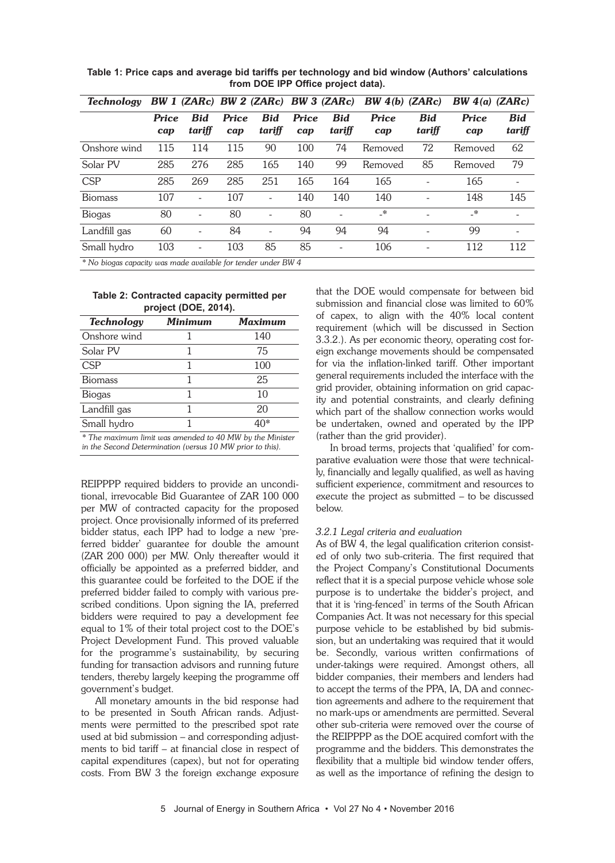| <b>Technology</b>                                             |                     |                      | BW 1 (ZARc) BW 2 (ZARc) BW 3 (ZARc) |                      |                     |                      | BW(4(b) (ZARc)      |                      | BW $4(a)$ (ZARc)    |                      |  |
|---------------------------------------------------------------|---------------------|----------------------|-------------------------------------|----------------------|---------------------|----------------------|---------------------|----------------------|---------------------|----------------------|--|
|                                                               | <b>Price</b><br>cap | <b>Bid</b><br>tariff | <b>Price</b><br>cap                 | <b>Bid</b><br>tariff | <b>Price</b><br>cap | <b>Bid</b><br>tariff | <b>Price</b><br>cap | <b>Bid</b><br>tariff | <b>Price</b><br>cap | <b>Bid</b><br>tariff |  |
| Onshore wind                                                  | 115                 | 114                  | 115                                 | 90                   | 100                 | 74                   | Removed             | 72                   | Removed             | 62                   |  |
| Solar PV                                                      | 285                 | 276                  | 285                                 | 165                  | 140                 | 99                   | Removed             | 85                   | Removed             | 79                   |  |
| <b>CSP</b>                                                    | 285                 | 269                  | 285                                 | 251                  | 165                 | 164                  | 165                 |                      | 165                 |                      |  |
| <b>Biomass</b>                                                | 107                 |                      | 107                                 |                      | 140                 | 140                  | 140                 |                      | 148                 | 145                  |  |
| <b>Biogas</b>                                                 | 80                  |                      | 80                                  |                      | 80                  |                      | _*                  | -                    | $\cdot^*$           |                      |  |
| Landfill gas                                                  | 60                  |                      | 84                                  |                      | 94                  | 94                   | 94                  |                      | 99                  |                      |  |
| Small hydro                                                   | 103                 |                      | 103                                 | 85                   | 85                  |                      | 106                 |                      | 112                 | 112                  |  |
| * No biogas capacity was made quailable for tender under BW 4 |                     |                      |                                     |                      |                     |                      |                     |                      |                     |                      |  |

**Table 1: Price caps and average bid tariffs per technology and bid window (Authors' calculations from DOE IPP Office project data).**

*\* No biogas capacity was made available for tender under BW 4*

#### **Table 2: Contracted capacity permitted per project (DOE, 2014).**

| <b>Technology</b> | Minimum | Maximum                                                                                             |
|-------------------|---------|-----------------------------------------------------------------------------------------------------|
| Onshore wind      |         | 140                                                                                                 |
| Solar PV          |         | 75                                                                                                  |
| <b>CSP</b>        |         | 100                                                                                                 |
| <b>Biomass</b>    |         | 25                                                                                                  |
| <b>Biogas</b>     |         | 10                                                                                                  |
| Landfill gas      |         | 20                                                                                                  |
| Small hydro       |         | $40*$                                                                                               |
| $+T1$<br>1.7.7.7  |         | $1 \quad 1 \quad 4 \quad 3 \quad 5 \quad 6 \quad 7 \quad 8 \quad 7 \quad 8 \quad 9 \quad 9 \quad 1$ |

*\* The maximum limit was amended to 40 MW by the Minister in the Second Determination (versus 10 MW prior to this).*

REIPPPP required bidders to provide an unconditional, irrevocable Bid Guarantee of ZAR 100 000 per MW of contracted capacity for the proposed project. Once provisionally informed of its preferred bidder status, each IPP had to lodge a new 'preferred bidder' guarantee for double the amount (ZAR 200 000) per MW. Only thereafter would it officially be appointed as a preferred bidder, and this guarantee could be forfeited to the DOE if the preferred bidder failed to comply with various prescribed conditions. Upon signing the IA, preferred bidders were required to pay a development fee equal to 1% of their total project cost to the DOE's Project Development Fund. This proved valuable for the programme's sustainability, by securing funding for transaction advisors and running future tenders, thereby largely keeping the programme off government's budget.

All monetary amounts in the bid response had to be presented in South African rands. Adjustments were permitted to the prescribed spot rate used at bid submission – and corresponding adjustments to bid tariff – at financial close in respect of capital expenditures (capex), but not for operating costs. From BW 3 the foreign exchange exposure

that the DOE would compensate for between bid submission and financial close was limited to 60% of capex, to align with the 40% local content requirement (which will be discussed in Section 3.3.2.). As per economic theory, operating cost foreign exchange movements should be compensated for via the inflation-linked tariff. Other important general requirements included the interface with the grid provider, obtaining information on grid capacity and potential constraints, and clearly defining which part of the shallow connection works would be undertaken, owned and operated by the IPP (rather than the grid provider).

In broad terms, projects that 'qualified' for comparative evaluation were those that were technically, financially and legally qualified, as well as having sufficient experience, commitment and resources to execute the project as submitted – to be discussed below.

# *3.2.1 Legal criteria and evaluation*

As of BW 4, the legal qualification criterion consisted of only two sub-criteria. The first required that the Project Company's Constitutional Documents reflect that it is a special purpose vehicle whose sole purpose is to undertake the bidder's project, and that it is 'ring-fenced' in terms of the South African Companies Act. It was not necessary for this special purpose vehicle to be established by bid submission, but an undertaking was required that it would be. Secondly, various written confirmations of under-takings were required. Amongst others, all bidder companies, their members and lenders had to accept the terms of the PPA, IA, DA and connection agreements and adhere to the requirement that no mark-ups or amendments are permitted. Several other sub-criteria were removed over the course of the REIPPPP as the DOE acquired comfort with the programme and the bidders. This demonstrates the flexibility that a multiple bid window tender offers, as well as the importance of refining the design to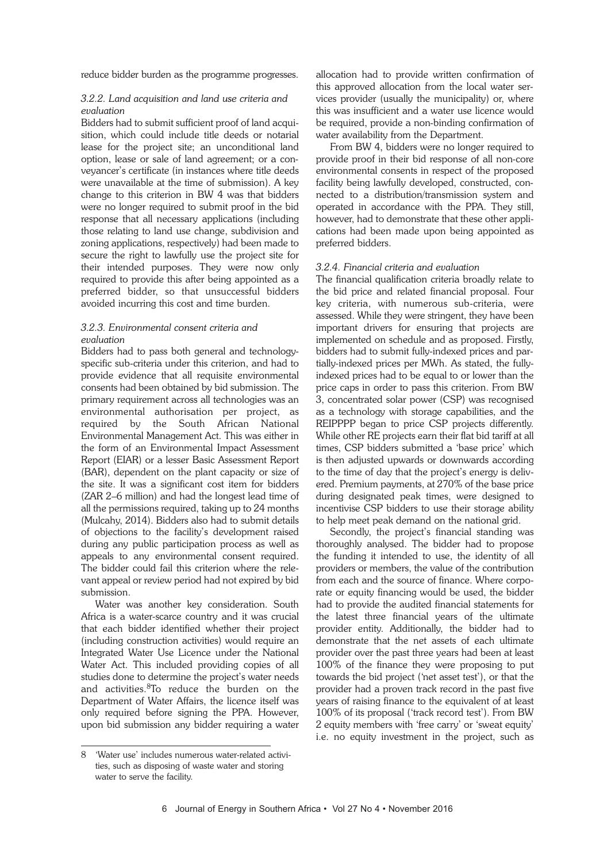reduce bidder burden as the programme progresses.

### *3.2.2. Land acquisition and land use criteria and evaluation*

Bidders had to submit sufficient proof of land acquisition, which could include title deeds or notarial lease for the project site; an unconditional land option, lease or sale of land agreement; or a conveyancer's certificate (in instances where title deeds were unavailable at the time of submission). A key change to this criterion in BW 4 was that bidders were no longer required to submit proof in the bid response that all necessary applications (including those relating to land use change, subdivision and zoning applications, respectively) had been made to secure the right to lawfully use the project site for their intended purposes. They were now only required to provide this after being appointed as a preferred bidder, so that unsuccessful bidders avoided incurring this cost and time burden.

### *3.2.3. Environmental consent criteria and evaluation*

Bidders had to pass both general and technologyspecific sub-criteria under this criterion, and had to provide evidence that all requisite environmental consents had been obtained by bid submission. The primary requirement across all technologies was an environmental authorisation per project, as required by the South African National Environmental Management Act. This was either in the form of an Environmental Impact Assessment Report (EIAR) or a lesser Basic Assessment Report (BAR), dependent on the plant capacity or size of the site. It was a significant cost item for bidders (ZAR 2–6 million) and had the longest lead time of all the permissions required, taking up to 24 months (Mulcahy, 2014). Bidders also had to submit details of objections to the facility's development raised during any public participation process as well as appeals to any environmental consent required. The bidder could fail this criterion where the relevant appeal or review period had not expired by bid submission.

Water was another key consideration. South Africa is a water-scarce country and it was crucial that each bidder identified whether their project (including construction activities) would require an Integrated Water Use Licence under the National Water Act. This included providing copies of all studies done to determine the project's water needs and activities. 8To reduce the burden on the Department of Water Affairs, the licence itself was only required before signing the PPA. However, upon bid submission any bidder requiring a water

allocation had to provide written confirmation of this approved allocation from the local water services provider (usually the municipality) or, where this was insufficient and a water use licence would be required, provide a non-binding confirmation of water availability from the Department.

From BW 4, bidders were no longer required to provide proof in their bid response of all non-core environmental consents in respect of the proposed facility being lawfully developed, constructed, connected to a distribution/transmission system and operated in accordance with the PPA. They still, however, had to demonstrate that these other applications had been made upon being appointed as preferred bidders.

### *3.2.4. Financial criteria and evaluation*

The financial qualification criteria broadly relate to the bid price and related financial proposal. Four key criteria, with numerous sub-criteria, were assessed. While they were stringent, they have been important drivers for ensuring that projects are implemented on schedule and as proposed. Firstly, bidders had to submit fully-indexed prices and partially-indexed prices per MWh. As stated, the fullyindexed prices had to be equal to or lower than the price caps in order to pass this criterion. From BW 3, concentrated solar power (CSP) was recognised as a technology with storage capabilities, and the REIPPPP began to price CSP projects differently. While other RE projects earn their flat bid tariff at all times, CSP bidders submitted a 'base price' which is then adjusted upwards or downwards according to the time of day that the project's energy is delivered. Premium payments, at 270% of the base price during designated peak times, were designed to incentivise CSP bidders to use their storage ability to help meet peak demand on the national grid.

Secondly, the project's financial standing was thoroughly analysed. The bidder had to propose the funding it intended to use, the identity of all providers or members, the value of the contribution from each and the source of finance. Where corporate or equity financing would be used, the bidder had to provide the audited financial statements for the latest three financial years of the ultimate provider entity. Additionally, the bidder had to demonstrate that the net assets of each ultimate provider over the past three years had been at least 100% of the finance they were proposing to put towards the bid project ('net asset test'), or that the provider had a proven track record in the past five years of raising finance to the equivalent of at least 100% of its proposal ('track record test'). From BW 2 equity members with 'free carry' or 'sweat equity' i.e. no equity investment in the project, such as

<sup>8</sup> 'Water use' includes numerous water-related activities, such as disposing of waste water and storing water to serve the facility.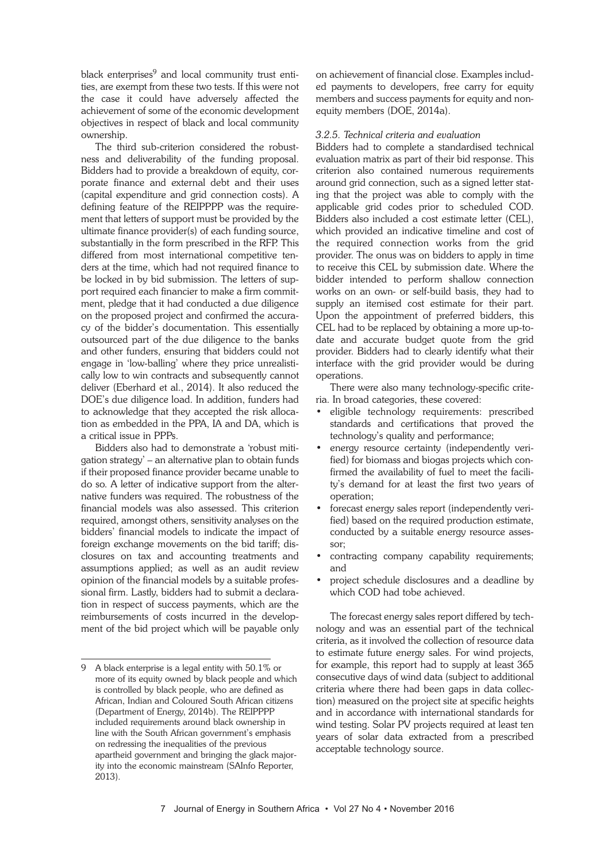black enterprises $9$  and local community trust entities, are exempt from these two tests. If this were not the case it could have adversely affected the achievement of some of the economic development objectives in respect of black and local community ownership.

The third sub-criterion considered the robustness and deliverability of the funding proposal. Bidders had to provide a breakdown of equity, corporate finance and external debt and their uses (capital expenditure and grid connection costs). A defining feature of the REIPPPP was the requirement that letters of support must be provided by the ultimate finance provider(s) of each funding source, substantially in the form prescribed in the RFP. This differed from most international competitive tenders at the time, which had not required finance to be locked in by bid submission. The letters of support required each financier to make a firm commitment, pledge that it had conducted a due diligence on the proposed project and confirmed the accuracy of the bidder's documentation. This essentially outsourced part of the due diligence to the banks and other funders, ensuring that bidders could not engage in 'low-balling' where they price unrealistically low to win contracts and subsequently cannot deliver (Eberhard et al., 2014). It also reduced the DOE's due diligence load. In addition, funders had to acknowledge that they accepted the risk allocation as embedded in the PPA, IA and DA, which is a critical issue in PPPs.

Bidders also had to demonstrate a 'robust mitigation strategy' – an alternative plan to obtain funds if their proposed finance provider became unable to do so. A letter of indicative support from the alternative funders was required. The robustness of the financial models was also assessed. This criterion required, amongst others, sensitivity analyses on the bidders' financial models to indicate the impact of foreign exchange movements on the bid tariff; disclosures on tax and accounting treatments and assumptions applied; as well as an audit review opinion of the financial models by a suitable professional firm. Lastly, bidders had to submit a declaration in respect of success payments, which are the reimbursements of costs incurred in the development of the bid project which will be payable only

on achievement of financial close. Examples included payments to developers, free carry for equity members and success payments for equity and nonequity members (DOE, 2014a).

### *3.2.5. Technical criteria and evaluation*

Bidders had to complete a standardised technical evaluation matrix as part of their bid response. This criterion also contained numerous requirements around grid connection, such as a signed letter stating that the project was able to comply with the applicable grid codes prior to scheduled COD. Bidders also included a cost estimate letter (CEL), which provided an indicative timeline and cost of the required connection works from the grid provider. The onus was on bidders to apply in time to receive this CEL by submission date. Where the bidder intended to perform shallow connection works on an own- or self-build basis, they had to supply an itemised cost estimate for their part. Upon the appointment of preferred bidders, this CEL had to be replaced by obtaining a more up-todate and accurate budget quote from the grid provider. Bidders had to clearly identify what their interface with the grid provider would be during operations.

There were also many technology-specific criteria. In broad categories, these covered:

- eligible technology requirements: prescribed standards and certifications that proved the technology's quality and performance;
- energy resource certainty (independently verified) for biomass and biogas projects which confirmed the availability of fuel to meet the facility's demand for at least the first two years of operation;
- forecast energy sales report (independently verified) based on the required production estimate, conducted by a suitable energy resource assessor;
- contracting company capability requirements; and
- project schedule disclosures and a deadline by which COD had tobe achieved.

The forecast energy sales report differed by technology and was an essential part of the technical criteria, as it involved the collection of resource data to estimate future energy sales. For wind projects, for example, this report had to supply at least 365 consecutive days of wind data (subject to additional criteria where there had been gaps in data collection) measured on the project site at specific heights and in accordance with international standards for wind testing. Solar PV projects required at least ten years of solar data extracted from a prescribed acceptable technology source.

<sup>9</sup> A black enterprise is a legal entity with 50.1% or more of its equity owned by black people and which is controlled by black people, who are defined as African, Indian and Coloured South African citizens (Department of Energy, 2014b). The REIPPPP included requirements around black ownership in line with the South African government's emphasis on redressing the inequalities of the previous apartheid government and bringing the glack majority into the economic mainstream (SAInfo Reporter, 2013).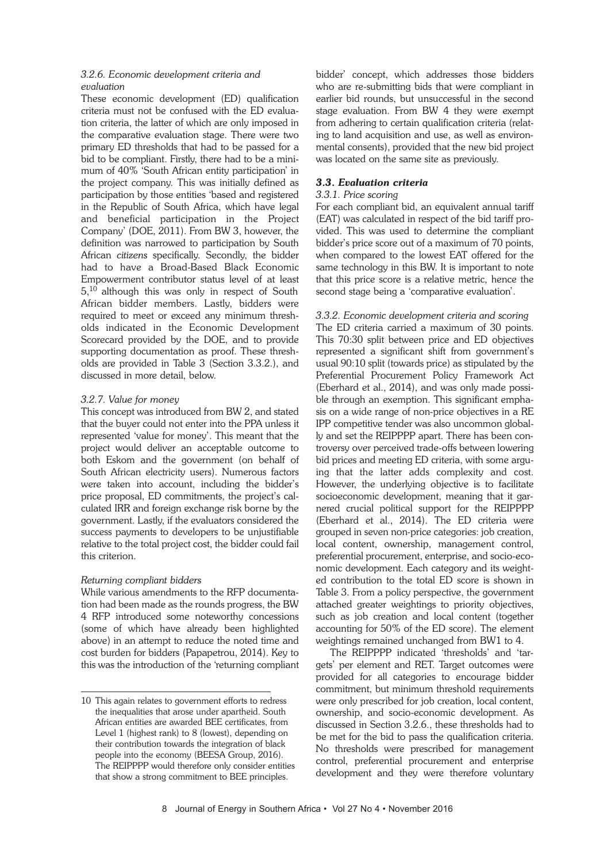# *3.2.6. Economic development criteria and evaluation*

These economic development (ED) qualification criteria must not be confused with the ED evaluation criteria, the latter of which are only imposed in the comparative evaluation stage. There were two primary ED thresholds that had to be passed for a bid to be compliant. Firstly, there had to be a minimum of 40% 'South African entity participation' in the project company. This was initially defined as participation by those entities 'based and registered in the Republic of South Africa, which have legal and beneficial participation in the Project Company' (DOE, 2011). From BW 3, however, the definition was narrowed to participation by South African *citizens* specifically. Secondly, the bidder had to have a Broad-Based Black Economic Empowerment contributor status level of at least 5,<sup>10</sup> although this was only in respect of South African bidder members. Lastly, bidders were required to meet or exceed any minimum thresholds indicated in the Economic Development Scorecard provided by the DOE, and to provide supporting documentation as proof. These thresholds are provided in Table 3 (Section 3.3.2.), and discussed in more detail, below.

# *3.2.7. Value for money*

This concept was introduced from BW 2, and stated that the buyer could not enter into the PPA unless it represented 'value for money'. This meant that the project would deliver an acceptable outcome to both Eskom and the government (on behalf of South African electricity users). Numerous factors were taken into account, including the bidder's price proposal, ED commitments, the project's calculated IRR and foreign exchange risk borne by the government. Lastly, if the evaluators considered the success payments to developers to be unjustifiable relative to the total project cost, the bidder could fail this criterion.

# *Returning compliant bidders*

While various amendments to the RFP documentation had been made as the rounds progress, the BW 4 RFP introduced some noteworthy concessions (some of which have already been highlighted above) in an attempt to reduce the noted time and cost burden for bidders (Papapetrou, 2014). Key to this was the introduction of the 'returning compliant bidder' concept, which addresses those bidders who are re-submitting bids that were compliant in earlier bid rounds, but unsuccessful in the second stage evaluation. From BW 4 they were exempt from adhering to certain qualification criteria (relating to land acquisition and use, as well as environmental consents), provided that the new bid project was located on the same site as previously.

# *3.3. Evaluation criteria*

# *3.3.1. Price scoring*

For each compliant bid, an equivalent annual tariff (EAT) was calculated in respect of the bid tariff provided. This was used to determine the compliant bidder's price score out of a maximum of 70 points, when compared to the lowest EAT offered for the same technology in this BW. It is important to note that this price score is a relative metric, hence the second stage being a 'comparative evaluation'.

# *3.3.2. Economic development criteria and scoring*

The ED criteria carried a maximum of 30 points. This 70:30 split between price and ED objectives represented a significant shift from government's usual 90:10 split (towards price) as stipulated by the Preferential Procurement Policy Framework Act (Eberhard et al., 2014), and was only made possible through an exemption. This significant emphasis on a wide range of non-price objectives in a RE IPP competitive tender was also uncommon globally and set the REIPPPP apart. There has been controversy over perceived trade-offs between lowering bid prices and meeting ED criteria, with some arguing that the latter adds complexity and cost. However, the underlying objective is to facilitate socioeconomic development, meaning that it garnered crucial political support for the REIPPPP (Eberhard et al., 2014). The ED criteria were grouped in seven non-price categories: job creation, local content, ownership, management control, preferential procurement, enterprise, and socio-economic development. Each category and its weighted contribution to the total ED score is shown in Table 3. From a policy perspective, the government attached greater weightings to priority objectives, such as job creation and local content (together accounting for 50% of the ED score). The element weightings remained unchanged from BW1 to 4.

The REIPPPP indicated 'thresholds' and 'targets' per element and RET. Target outcomes were provided for all categories to encourage bidder commitment, but minimum threshold requirements were only prescribed for job creation, local content, ownership, and socio-economic development. As discussed in Section 3.2.6., these thresholds had to be met for the bid to pass the qualification criteria. No thresholds were prescribed for management control, preferential procurement and enterprise development and they were therefore voluntary

<sup>10</sup> This again relates to government efforts to redress the inequalities that arose under apartheid. South African entities are awarded BEE certificates, from Level 1 (highest rank) to 8 (lowest), depending on their contribution towards the integration of black people into the economy (BEESA Group, 2016). The REIPPPP would therefore only consider entities that show a strong commitment to BEE principles.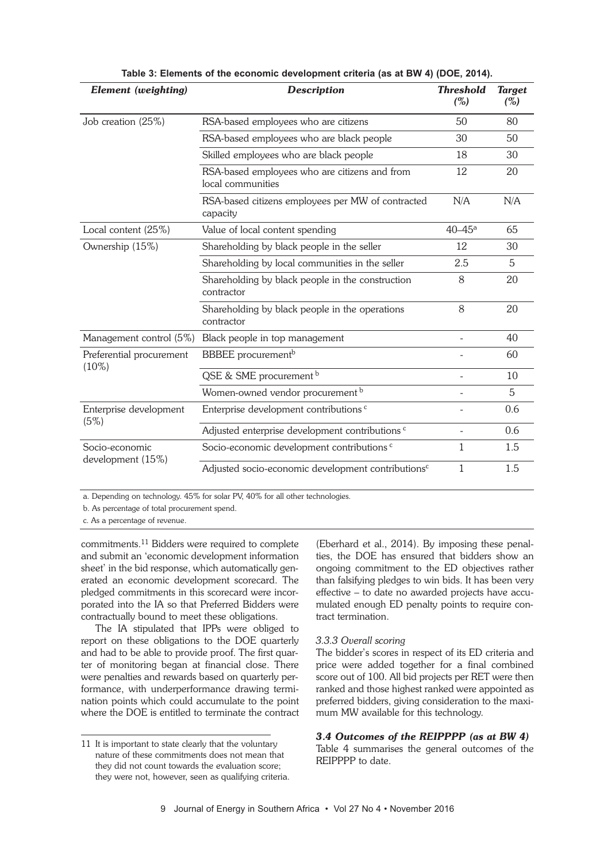| Element (weighting)                  | <b>Description</b>                                                 | <b>Threshold</b><br>$(\%)$ | <b>Target</b><br>(%) |
|--------------------------------------|--------------------------------------------------------------------|----------------------------|----------------------|
| Job creation (25%)                   | RSA-based employees who are citizens                               | 50                         | 80                   |
|                                      | RSA-based employees who are black people                           | 30                         | 50                   |
|                                      | Skilled employees who are black people                             | 18                         | 30                   |
|                                      | RSA-based employees who are citizens and from<br>local communities | 12                         | 20                   |
|                                      | RSA-based citizens employees per MW of contracted<br>capacity      | N/A                        | N/A                  |
| Local content (25%)                  | Value of local content spending                                    | $40 - 45$ <sup>a</sup>     | 65                   |
| Ownership (15%)                      | Shareholding by black people in the seller                         | 12                         | 30                   |
|                                      | Shareholding by local communities in the seller                    | 2.5                        | 5                    |
|                                      | Shareholding by black people in the construction<br>contractor     | 8                          | 20                   |
|                                      | Shareholding by black people in the operations<br>contractor       | 8                          | 20                   |
| Management control (5%)              | Black people in top management                                     | ÷.                         | 40                   |
| Preferential procurement<br>$(10\%)$ | <b>BBBEE</b> procurement <sup>b</sup>                              |                            | 60                   |
|                                      | QSE & SME procurement b                                            |                            | 10                   |
|                                      | Women-owned vendor procurement b                                   |                            | 5                    |
| Enterprise development<br>(5%)       | Enterprise development contributions <sup>c</sup>                  |                            | 0.6                  |
|                                      | Adjusted enterprise development contributions <sup>c</sup>         |                            | 0.6                  |
| Socio-economic<br>development (15%)  | Socio-economic development contributions <sup>c</sup>              | 1                          | 1.5                  |
|                                      | Adjusted socio-economic development contributions <sup>c</sup>     | 1                          | 1.5                  |

**Table 3: Elements of the economic development criteria (as at BW 4) (DOE, 2014).**

a. Depending on technology. 45% for solar PV, 40% for all other technologies.

b. As percentage of total procurement spend.

c. As a percentage of revenue.

commitments. <sup>11</sup> Bidders were required to complete and submit an 'economic development information sheet' in the bid response, which automatically generated an economic development scorecard. The pledged commitments in this scorecard were incorporated into the IA so that Preferred Bidders were contractually bound to meet these obligations.

The IA stipulated that IPPs were obliged to report on these obligations to the DOE quarterly and had to be able to provide proof. The first quarter of monitoring began at financial close. There were penalties and rewards based on quarterly performance, with underperformance drawing termination points which could accumulate to the point where the DOE is entitled to terminate the contract (Eberhard et al., 2014). By imposing these penalties, the DOE has ensured that bidders show an ongoing commitment to the ED objectives rather than falsifying pledges to win bids. It has been very effective – to date no awarded projects have accumulated enough ED penalty points to require contract termination.

### *3.3.3 Overall scoring*

The bidder's scores in respect of its ED criteria and price were added together for a final combined score out of 100. All bid projects per RET were then ranked and those highest ranked were appointed as preferred bidders, giving consideration to the maximum MW available for this technology.

# *3.4 Outcomes of the REIPPPP (as at BW 4)*

Table 4 summarises the general outcomes of the REIPPPP to date.

<sup>11</sup> It is important to state clearly that the voluntary nature of these commitments does not mean that they did not count towards the evaluation score; they were not, however, seen as qualifying criteria.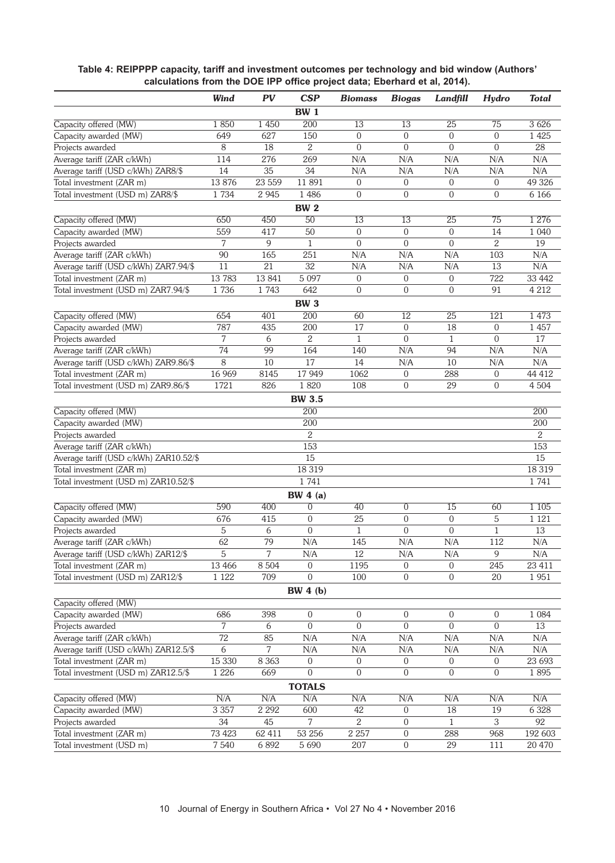|                                        | Wind            | $\overline{PV}$ | CSP              | <b>Biomass</b>   | <b>Biogas</b>   | Landfill         | Hydro            | <b>Total</b>   |
|----------------------------------------|-----------------|-----------------|------------------|------------------|-----------------|------------------|------------------|----------------|
|                                        |                 |                 | <b>BW 1</b>      |                  |                 |                  |                  |                |
| Capacity offered (MW)                  | 1850            | 1 4 5 0         | 200              | 13               | 13              | 25               | 75               | 3626           |
| Capacity awarded (MW)                  | 649             | 627             | 150              | $\boldsymbol{0}$ | 0               | $\boldsymbol{0}$ | $\mathbf 0$      | 1 4 2 5        |
| Projects awarded                       | 8               | 18              | 2                | $\overline{0}$   | $\overline{0}$  | $\boldsymbol{0}$ | $\mathbf 0$      | 28             |
| Average tariff (ZAR c/kWh)             | 114             | 276             | 269              | N/A              | N/A             | N/A              | N/A              | N/A            |
| Average tariff (USD c/kWh) ZAR8/\$     | 14              | 35              | 34               | N/A              | N/A             | N/A              | N/A              | N/A            |
| Total investment (ZAR m)               | 13 876          | 23 559          | 11891            | $\overline{0}$   | $\overline{0}$  | $\overline{0}$   | $\boldsymbol{0}$ | 49 326         |
| Total investment (USD m) ZAR8/\$       | 1734            | 2 9 4 5         | 1 4 8 6          | $\overline{0}$   | 0               | $\overline{0}$   | $\boldsymbol{0}$ | 6 1 6 6        |
|                                        |                 |                 | <b>BW 2</b>      |                  |                 |                  |                  |                |
| Capacity offered (MW)                  | 650             | 450             | $\overline{50}$  | 13               | 13              | 25               | 75               | 1 2 7 6        |
| Capacity awarded (MW)                  | 559             | 417             | 50               | $\overline{0}$   | $\overline{0}$  | $\overline{0}$   | 14               | 1 0 4 0        |
| Projects awarded                       | 7               | 9               | $\mathbf{1}$     | $\Omega$         | $\overline{0}$  | $\theta$         | $\overline{2}$   | 19             |
| Average tariff (ZAR c/kWh)             | $\overline{90}$ | 165             | 251              | N/A              | N/A             | N/A              | 103              | N/A            |
| Average tariff (USD c/kWh) ZAR7.94/\$  | 11              | 21              | $\overline{32}$  | N/A              | N/A             | N/A              | 13               | N/A            |
| Total investment (ZAR m)               | 13 783          | 13 841          | 5 0 9 7          | $\overline{0}$   | $\overline{0}$  | $\overline{0}$   | 722              | 33 442         |
| Total investment (USD m) ZAR7.94/\$    | 1736            | 1743            | 642              | $\overline{0}$   | 0               | $\overline{0}$   | 91               | 4 2 1 2        |
|                                        |                 |                 | <b>BW 3</b>      |                  |                 |                  |                  |                |
| Capacity offered (MW)                  | 654             | 401             | 200              | 60               | $\overline{12}$ | $\overline{25}$  | 121              | 1 4 7 3        |
| Capacity awarded (MW)                  | 787             | 435             | 200              | 17               | 0               | 18               | $\boldsymbol{0}$ | 1 4 5 7        |
| Projects awarded                       | 7               | 6               | 2                | $\mathbf{1}$     | $\Omega$        | $\mathbf{1}$     | $\overline{0}$   | 17             |
| Average tariff (ZAR c/kWh)             | 74              | 99              | 164              | 140              | N/A             | 94               | N/A              | N/A            |
| Average tariff (USD c/kWh) ZAR9.86/\$  | 8               | 10              | $\overline{17}$  | 14               | N/A             | 10               | N/A              | N/A            |
| Total investment (ZAR m)               | 16 969          | 8145            | 17 949           | 1062             | $\overline{0}$  | 288              | $\boldsymbol{0}$ | 44 412         |
| Total investment (USD m) ZAR9.86/\$    | 1721            | 826             | 1820             | 108              | 0               | 29               | $\boldsymbol{0}$ | 4 5 0 4        |
|                                        |                 |                 | <b>BW 3.5</b>    |                  |                 |                  |                  |                |
| Capacity offered (MW)                  |                 |                 | 200              |                  |                 |                  |                  | 200            |
| Capacity awarded (MW)                  |                 |                 | 200              |                  |                 |                  |                  | 200            |
| Projects awarded                       |                 |                 | 2                |                  |                 |                  |                  | $\overline{2}$ |
| Average tariff (ZAR c/kWh)             |                 |                 | 153              |                  |                 |                  |                  | 153            |
| Average tariff (USD c/kWh) ZAR10.52/\$ |                 |                 | 15               |                  |                 |                  |                  | 15             |
| Total investment (ZAR m)               |                 |                 | 18 3 19          |                  |                 |                  |                  | 18 3 19        |
| Total investment (USD m) ZAR10.52/\$   |                 |                 | 1741             |                  |                 |                  |                  | 1741           |
|                                        |                 |                 | BW $4(a)$        |                  |                 |                  |                  |                |
| Capacity offered (MW)                  | 590             | 400             | $\overline{0}$   | 40               | $\overline{0}$  | $\overline{15}$  | 60               | 1 1 0 5        |
| Capacity awarded (MW)                  | 676             | 415             | $\mathbf{0}$     | 25               | 0               | $\mathbf{0}$     | $\mathbf 5$      | 1 1 2 1        |
| Projects awarded                       | 5               | 6               | $\boldsymbol{0}$ | $\mathbf{1}$     | 0               | $\boldsymbol{0}$ | $\mathbf{1}$     | 13             |
| Average tariff (ZAR c/kWh)             | 62              | 79              | N/A              | 145              | N/A             | $\rm N/A$        | 112              | N/A            |
| Average tariff (USD c/kWh) ZAR12/\$    | 5               | 7               | N/A              | 12               | N/A             | N/A              | 9                | N/A            |
| Total investment (ZAR m)               | 13 4 66         | 8 5 0 4         | $\overline{0}$   | 1195             | $\overline{0}$  | $\overline{0}$   | 245              | 23 411         |
| Total investment (USD m) ZAR12/\$      | 1 1 2 2         | 709             | $\Omega$         | 100              | 0               | $\overline{0}$   | 20               | 1951           |
|                                        |                 |                 | BW 4(b)          |                  |                 |                  |                  |                |
| Capacity offered (MW)                  |                 |                 |                  |                  |                 |                  |                  |                |
| Capacity awarded (MW)                  | 686             | 398             | $\overline{0}$   | $\overline{0}$   | 0               | $\overline{0}$   | $\overline{0}$   | 1 0 8 4        |
| Projects awarded                       | 7               | 6               | $\overline{0}$   | $\overline{0}$   | 0               | $\overline{0}$   | $\boldsymbol{0}$ | 13             |
| Average tariff (ZAR c/kWh)             | 72              | 85              | N/A              | N/A              | N/A             | N/A              | N/A              | N/A            |
| Average tariff (USD c/kWh) ZAR12.5/\$  | 6               | 7               | N/A              | N/A              | N/A             | N/A              | N/A              | N/A            |
| Total investment (ZAR m)               | 15 330          | 8 3 6 3         | $\overline{0}$   | $\overline{0}$   | 0               | $\overline{0}$   | $\overline{0}$   | 23 693         |
| Total investment (USD m) ZAR12.5/\$    | 1 2 2 6         | 669             | $\overline{0}$   | $\overline{0}$   | 0               | 0                | $\overline{0}$   | 1895           |
|                                        |                 |                 | <b>TOTALS</b>    |                  |                 |                  |                  |                |
| Capacity offered (MW)                  | N/A             | N/A             | N/A              | N/A              | N/A             | N/A              | N/A              | N/A            |
| Capacity awarded (MW)                  | 3 3 5 7         | 2 2 9 2         | 600              | 42               | 0               | 18               | 19               | 6 3 28         |
| Projects awarded                       | 34              | 45              | 7                | 2                | $\overline{0}$  | $\mathbf{1}$     | $\overline{3}$   | 92             |
| Total investment (ZAR m)               | 73 423          | 62 411          | 53 256           | 2 2 5 7          | $\overline{0}$  | 288              | 968              | 192 603        |
| Total investment (USD m)               | 7540            | 6 8 9 2         | 5 6 9 0          | 207              | $\overline{0}$  | 29               | 111              | 20 470         |

# **Table 4: REIPPPP capacity, tariff and investment outcomes per technology and bid window (Authors' calculations from the DOE IPP office project data; Eberhard et al, 2014).**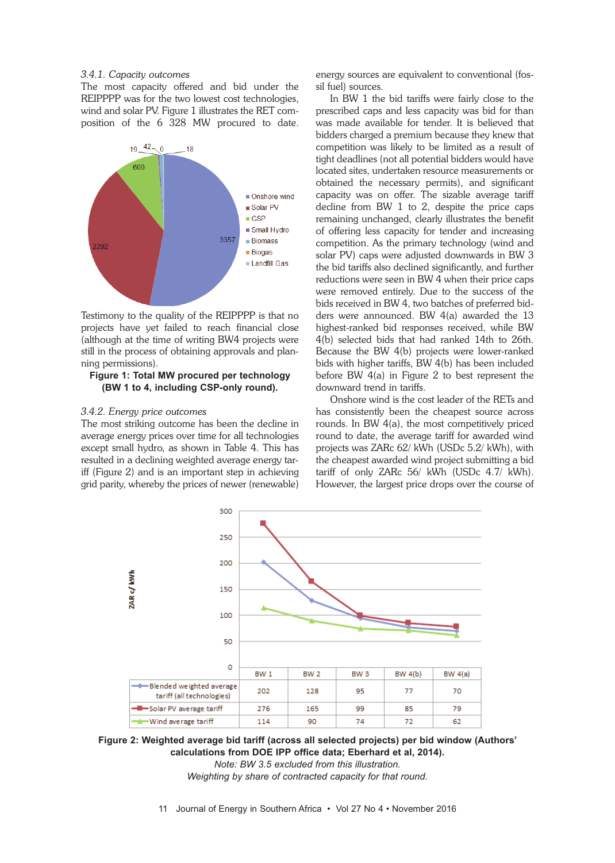# *3.4.1. Capacity outcomes*

The most capacity offered and bid under the REIPPPP was for the two lowest cost technologies, wind and solar PV. Figure 1 illustrates the RET composition of the 6 328 MW procured to date.



Testimony to the quality of the REIPPPP is that no projects have yet failed to reach financial close (although at the time of writing BW4 projects were still in the process of obtaining approvals and planning permissions).

### **Figure 1: Total MW procured per technology (BW 1 to 4, including CSP-only round).**

### *3.4.2. Energy price outcomes*

The most striking outcome has been the decline in average energy prices over time for all technologies except small hydro, as shown in Table 4. This has resulted in a declining weighted average energy tariff (Figure 2) and is an important step in achieving grid parity, whereby the prices of newer (renewable)

energy sources are equivalent to conventional (fossil fuel) sources.

In BW 1 the bid tariffs were fairly close to the prescribed caps and less capacity was bid for than was made available for tender. It is believed that bidders charged a premium because they knew that competition was likely to be limited as a result of tight deadlines (not all potential bidders would have located sites, undertaken resource measurements or obtained the necessary permits), and significant capacity was on offer. The sizable average tariff decline from BW 1 to 2, despite the price caps remaining unchanged, clearly illustrates the benefit of offering less capacity for tender and increasing competition. As the primary technology (wind and solar PV) caps were adjusted downwards in BW 3 the bid tariffs also declined significantly, and further reductions were seen in BW 4 when their price caps were removed entirely. Due to the success of the bids received in BW 4, two batches of preferred bidders were announced. BW 4(a) awarded the 13 highest-ranked bid responses received, while BW 4(b) selected bids that had ranked 14th to 26th. Because the BW 4(b) projects were lower-ranked bids with higher tariffs, BW 4(b) has been included before BW 4(a) in Figure 2 to best represent the downward trend in tariffs.

Onshore wind is the cost leader of the RETs and has consistently been the cheapest source across rounds. In BW 4(a), the most competitively priced round to date, the average tariff for awarded wind projects was ZARc 62/ kWh (USDc 5.2/ kWh), with the cheapest awarded wind project submitting a bid tariff of only ZARc 56/ kWh (USDc 4.7/ kWh). However, the largest price drops over the course of



**Figure 2: Weighted average bid tariff (across all selected projects) per bid window (Authors' calculations from DOE IPP office data; Eberhard et al, 2014).** *Note: BW 3.5 excluded from this illustration.*

*Weighting by share of contracted capacity for that round.*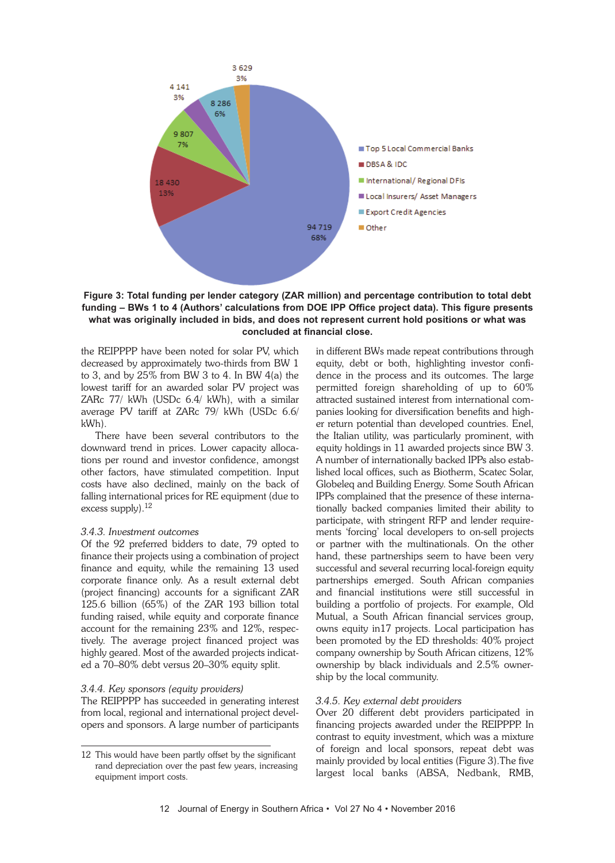

**Figure 3: Total funding per lender category (ZAR million) and percentage contribution to total debt funding – BWs 1 to 4 (Authors' calculations from DOE IPP Office project data). This figure presents what was originally included in bids, and does not represent current hold positions or what was concluded at financial close.**

the REIPPPP have been noted for solar PV, which decreased by approximately two-thirds from BW 1 to 3, and by 25% from BW 3 to 4. In BW 4(a) the lowest tariff for an awarded solar PV project was ZARc 77/ kWh (USDc 6.4/ kWh), with a similar average PV tariff at ZARc 79/ kWh (USDc 6.6/ kWh).

There have been several contributors to the downward trend in prices. Lower capacity allocations per round and investor confidence, amongst other factors, have stimulated competition. Input costs have also declined, mainly on the back of falling international prices for RE equipment (due to excess supply).<sup>12</sup>

### *3.4.3. Investment outcomes*

Of the 92 preferred bidders to date, 79 opted to finance their projects using a combination of project finance and equity, while the remaining 13 used corporate finance only. As a result external debt (project financing) accounts for a significant ZAR 125.6 billion (65%) of the ZAR 193 billion total funding raised, while equity and corporate finance account for the remaining 23% and 12%, respectively. The average project financed project was highly geared. Most of the awarded projects indicated a 70–80% debt versus 20–30% equity split.

### *3.4.4. Key sponsors (equity providers)*

The REIPPPP has succeeded in generating interest from local, regional and international project developers and sponsors. A large number of participants

in different BWs made repeat contributions through equity, debt or both, highlighting investor confidence in the process and its outcomes. The large permitted foreign shareholding of up to 60% attracted sustained interest from international companies looking for diversification benefits and higher return potential than developed countries. Enel, the Italian utility, was particularly prominent, with equity holdings in 11 awarded projects since BW 3. A number of internationally backed IPPs also established local offices, such as Biotherm, Scatec Solar, Globeleq and Building Energy. Some South African IPPs complained that the presence of these internationally backed companies limited their ability to participate, with stringent RFP and lender requirements 'forcing' local developers to on-sell projects or partner with the multinationals. On the other hand, these partnerships seem to have been very successful and several recurring local-foreign equity partnerships emerged. South African companies and financial institutions were still successful in building a portfolio of projects. For example, Old Mutual, a South African financial services group, owns equity in17 projects. Local participation has been promoted by the ED thresholds: 40% project company ownership by South African citizens, 12% ownership by black individuals and 2.5% ownership by the local community.

### *3.4.5. Key external debt providers*

Over 20 different debt providers participated in financing projects awarded under the REIPPPP. In contrast to equity investment, which was a mixture of foreign and local sponsors, repeat debt was mainly provided by local entities (Figure 3).The five largest local banks (ABSA, Nedbank, RMB,

<sup>12</sup> This would have been partly offset by the significant rand depreciation over the past few years, increasing equipment import costs.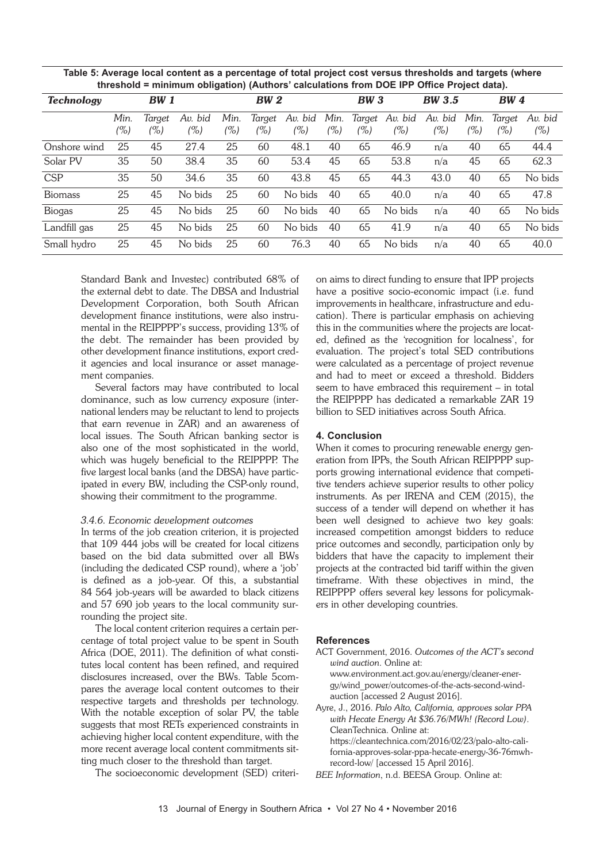| Table 5: Average local content as a percentage of total project cost versus thresholds and targets (where |
|-----------------------------------------------------------------------------------------------------------|
| threshold = minimum obligation) (Authors' calculations from DOE IPP Office Project data).                 |

| <b>Technology</b> | <b>BW</b> 1 |        |         | <b>BW 2</b> |        |         | <b>BW3</b> |        |         | <b>BW 3.5</b> |      | <b>BW</b> 4 |         |
|-------------------|-------------|--------|---------|-------------|--------|---------|------------|--------|---------|---------------|------|-------------|---------|
|                   | Min.        | Target | Av. bid | Min.        | Target | Av. bid | Min.       | Target | Av. bid | Av. bid       | Min. | Target      | Av. bid |
|                   | $( \% )$    | (%)    | (%)     | (%)         | (%)    | (%)     | (%)        | (%)    | (%)     | (%)           | (0)  | (%)         | $(\%)$  |
| Onshore wind      | 25          | 45     | 27.4    | 25          | 60     | 48.1    | 40         | 65     | 46.9    | n/a           | 40   | 65          | 44.4    |
| Solar PV          | 35          | 50     | 38.4    | 35          | 60     | 53.4    | 45         | 65     | 53.8    | n/a           | 45   | 65          | 62.3    |
| <b>CSP</b>        | 35          | 50     | 34.6    | 35          | 60     | 43.8    | 45         | 65     | 44.3    | 43.0          | 40   | 65          | No bids |
| <b>Biomass</b>    | 25          | 45     | No bids | 25          | 60     | No bids | 40         | 65     | 40.0    | n/a           | 40   | 65          | 47.8    |
| <b>Biogas</b>     | 25          | 45     | No bids | 25          | 60     | No bids | 40         | 65     | No bids | n/a           | 40   | 65          | No bids |
| Landfill gas      | 25          | 45     | No bids | 25          | 60     | No bids | 40         | 65     | 41.9    | n/a           | 40   | 65          | No bids |
| Small hydro       | 25          | 45     | No bids | 25          | 60     | 76.3    | 40         | 65     | No bids | n/a           | 40   | 65          | 40.0    |

Standard Bank and Investec) contributed 68% of the external debt to date. The DBSA and Industrial Development Corporation, both South African development finance institutions, were also instrumental in the REIPPPP's success, providing 13% of the debt. The remainder has been provided by other development finance institutions, export credit agencies and local insurance or asset management companies.

Several factors may have contributed to local dominance, such as low currency exposure (international lenders may be reluctant to lend to projects that earn revenue in ZAR) and an awareness of local issues. The South African banking sector is also one of the most sophisticated in the world, which was hugely beneficial to the REIPPPP. The five largest local banks (and the DBSA) have participated in every BW, including the CSP-only round, showing their commitment to the programme.

### *3.4.6. Economic development outcomes*

In terms of the job creation criterion, it is projected that 109 444 jobs will be created for local citizens based on the bid data submitted over all BWs (including the dedicated CSP round), where a 'job' is defined as a job-year. Of this, a substantial 84 564 job-years will be awarded to black citizens and 57 690 job years to the local community surrounding the project site.

The local content criterion requires a certain percentage of total project value to be spent in South Africa (DOE, 2011). The definition of what constitutes local content has been refined, and required disclosures increased, over the BWs. Table 5compares the average local content outcomes to their respective targets and thresholds per technology. With the notable exception of solar PV, the table suggests that most RETs experienced constraints in achieving higher local content expenditure, with the more recent average local content commitments sitting much closer to the threshold than target.

The socioeconomic development (SED) criteri-

on aims to direct funding to ensure that IPP projects have a positive socio-economic impact (i.e. fund improvements in healthcare, infrastructure and education). There is particular emphasis on achieving this in the communities where the projects are located, defined as the 'recognition for localness', for evaluation. The project's total SED contributions were calculated as a percentage of project revenue and had to meet or exceed a threshold. Bidders seem to have embraced this requirement – in total the REIPPPP has dedicated a remarkable ZAR 19 billion to SED initiatives across South Africa.

#### **4. Conclusion**

When it comes to procuring renewable energy generation from IPPs, the South African REIPPPP supports growing international evidence that competitive tenders achieve superior results to other policy instruments. As per IRENA and CEM (2015), the success of a tender will depend on whether it has been well designed to achieve two key goals: increased competition amongst bidders to reduce price outcomes and secondly, participation only by bidders that have the capacity to implement their projects at the contracted bid tariff within the given timeframe. With these objectives in mind, the REIPPPP offers several key lessons for policymakers in other developing countries.

#### **References**

ACT Government, 2016. *Outcomes of the ACT's second wind auction*. Online at: www.environment.act.gov.au/energy/cleaner-energy/wind\_power/outcomes-of-the-acts-second-windauction [accessed 2 August 2016]. Ayre, J., 2016. *Palo Alto, California, approves solar PPA*

*with Hecate Energy At \$36.76/MWh! (Record Low)*. CleanTechnica. Online at: https://cleantechnica.com/2016/02/23/palo-alto-california-approves-solar-ppa-hecate-energy-36-76mwhrecord-low/ [accessed 15 April 2016].

*BEE Information*, n.d. BEESA Group. Online at: